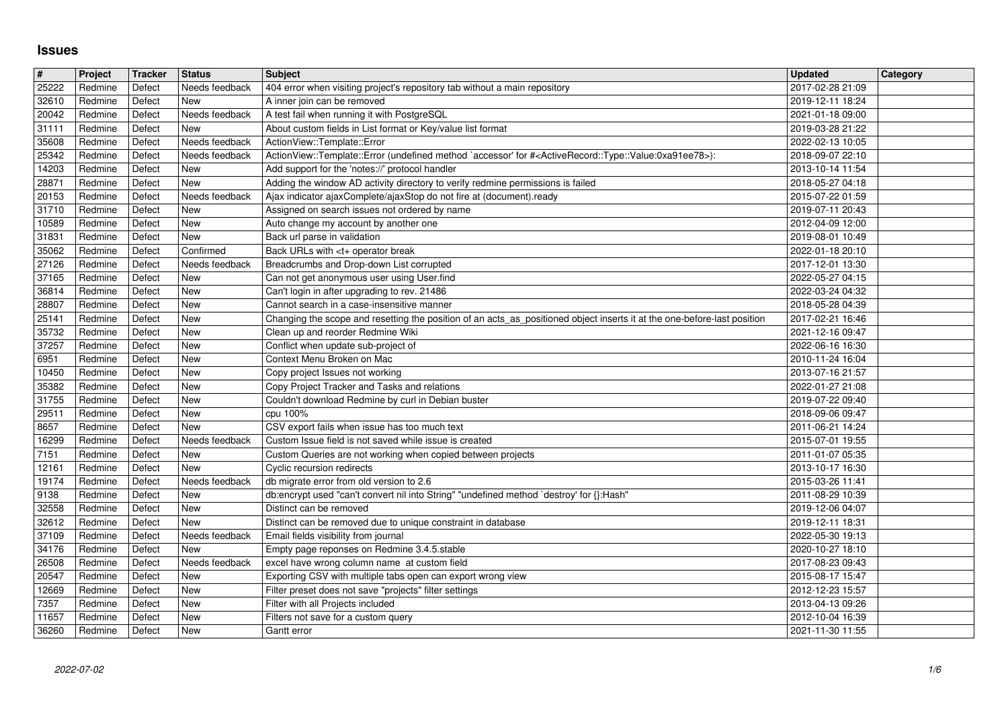## **Issues**

| $\pmb{\sharp}$ | Project            | Tracker          | <b>Status</b>                | <b>Subject</b>                                                                                                                                          | <b>Updated</b>                       | Category |
|----------------|--------------------|------------------|------------------------------|---------------------------------------------------------------------------------------------------------------------------------------------------------|--------------------------------------|----------|
| 25222          | Redmine            | Defect           | Needs feedback               | 404 error when visiting project's repository tab without a main repository                                                                              | 2017-02-28 21:09                     |          |
| 32610<br>20042 | Redmine<br>Redmine | Defect<br>Defect | New<br>Needs feedback        | A inner join can be removed<br>A test fail when running it with PostgreSQL                                                                              | 2019-12-11 18:24<br>2021-01-18 09:00 |          |
| 31111          | Redmine            | Defect           | New                          | About custom fields in List format or Key/value list format                                                                                             | 2019-03-28 21:22                     |          |
| 35608          | Redmine            | Defect           | Needs feedback               | ActionView::Template::Error                                                                                                                             | 2022-02-13 10:05                     |          |
| 25342          | Redmine            | Defect           | Needs feedback               | ActionView::Template::Error (undefined method `accessor' for # <activerecord::type::value:0xa91ee78>):</activerecord::type::value:0xa91ee78>            | 2018-09-07 22:10                     |          |
| 14203          | Redmine            | Defect           | New                          | Add support for the 'notes://' protocol handler                                                                                                         | 2013-10-14 11:54                     |          |
| 28871<br>20153 | Redmine<br>Redmine | Defect<br>Defect | New<br>Needs feedback        | Adding the window AD activity directory to verify redmine permissions is failed<br>Ajax indicator ajaxComplete/ajaxStop do not fire at (document).ready | 2018-05-27 04:18<br>2015-07-22 01:59 |          |
| 31710          | Redmine            | Defect           | New                          | Assigned on search issues not ordered by name                                                                                                           | 2019-07-11 20:43                     |          |
| 10589          | Redmine            | Defect           | New                          | Auto change my account by another one                                                                                                                   | 2012-04-09 12:00                     |          |
| 31831          | Redmine            | Defect           | New                          | Back url parse in validation                                                                                                                            | 2019-08-01 10:49                     |          |
| 35062          | Redmine            | Defect           | Confirmed                    | Back URLs with <t+ break<="" operator="" td=""><td>2022-01-18 20:10</td><td></td></t+>                                                                  | 2022-01-18 20:10                     |          |
| 27126<br>37165 | Redmine<br>Redmine | Defect<br>Defect | Needs feedback<br>New        | Breadcrumbs and Drop-down List corrupted<br>Can not get anonymous user using User.find                                                                  | 2017-12-01 13:30<br>2022-05-27 04:15 |          |
| 36814          | Redmine            | Defect           | New                          | Can't login in after upgrading to rev. 21486                                                                                                            | 2022-03-24 04:32                     |          |
| 28807          | Redmine            | Defect           | New                          | Cannot search in a case-insensitive manner                                                                                                              | 2018-05-28 04:39                     |          |
| 25141          | Redmine            | Defect           | New                          | Changing the scope and resetting the position of an acts_as_positioned object inserts it at the one-before-last position                                | 2017-02-21 16:46                     |          |
| 35732<br>37257 | Redmine<br>Redmine | Defect<br>Defect | New<br>New                   | Clean up and reorder Redmine Wiki<br>Conflict when update sub-project of                                                                                | 2021-12-16 09:47<br>2022-06-16 16:30 |          |
| 6951           | Redmine            | Defect           | New                          | Context Menu Broken on Mac                                                                                                                              | 2010-11-24 16:04                     |          |
| 10450          | Redmine            | Defect           | New                          | Copy project Issues not working                                                                                                                         | 2013-07-16 21:57                     |          |
| 35382          | Redmine            | Defect           | New                          | Copy Project Tracker and Tasks and relations                                                                                                            | 2022-01-27 21:08                     |          |
| 31755<br>29511 | Redmine<br>Redmine | Defect<br>Defect | New<br>New                   | Couldn't download Redmine by curl in Debian buster<br>cpu 100%                                                                                          | 2019-07-22 09:40<br>2018-09-06 09:47 |          |
| 8657           | Redmine            | Defect           | New                          | CSV export fails when issue has too much text                                                                                                           | 2011-06-21 14:24                     |          |
| 16299          | Redmine            | Defect           | Needs feedback               | Custom Issue field is not saved while issue is created                                                                                                  | 2015-07-01 19:55                     |          |
| 7151           | Redmine            | Defect           | New                          | Custom Queries are not working when copied between projects                                                                                             | 2011-01-07 05:35                     |          |
| 12161          | Redmine            | Defect           | New                          | Cyclic recursion redirects                                                                                                                              | 2013-10-17 16:30                     |          |
| 19174<br>9138  | Redmine<br>Redmine | Defect<br>Defect | Needs feedback<br>New        | db migrate error from old version to 2.6<br>db:encrypt used "can't convert nil into String" "undefined method `destroy' for {}:Hash"                    | 2015-03-26 11:41<br>2011-08-29 10:39 |          |
| 32558          | Redmine            | Defect           | New                          | Distinct can be removed                                                                                                                                 | 2019-12-06 04:07                     |          |
| 32612          | Redmine            | Defect           | New                          | Distinct can be removed due to unique constraint in database                                                                                            | 2019-12-11 18:31                     |          |
| 37109          | Redmine            | Defect           | Needs feedback               | Email fields visibility from journal                                                                                                                    | 2022-05-30 19:13                     |          |
| 34176<br>26508 | Redmine<br>Redmine | Defect<br>Defect | <b>New</b><br>Needs feedback | Empty page reponses on Redmine 3.4.5.stable<br>excel have wrong column name at custom field                                                             | 2020-10-27 18:10<br>2017-08-23 09:43 |          |
| 20547          | Redmine            | Defect           | New                          | Exporting CSV with multiple tabs open can export wrong view                                                                                             | 2015-08-17 15:47                     |          |
| 12669          | Redmine            | Defect           | New                          | Filter preset does not save "projects" filter settings                                                                                                  | 2012-12-23 15:57                     |          |
| 7357           | Redmine            | Defect           | New                          | Filter with all Projects included                                                                                                                       | 2013-04-13 09:26                     |          |
| 11657<br>36260 | Redmine<br>Redmine | Defect<br>Defect | New<br>New                   | Filters not save for a custom query<br>Gantt error                                                                                                      | 2012-10-04 16:39<br>2021-11-30 11:55 |          |
|                |                    |                  |                              |                                                                                                                                                         |                                      |          |
|                |                    |                  |                              |                                                                                                                                                         |                                      |          |
|                |                    |                  |                              |                                                                                                                                                         |                                      |          |
|                |                    |                  |                              |                                                                                                                                                         |                                      |          |
|                |                    |                  |                              |                                                                                                                                                         |                                      |          |
|                |                    |                  |                              |                                                                                                                                                         |                                      |          |
|                |                    |                  |                              |                                                                                                                                                         |                                      |          |
|                |                    |                  |                              |                                                                                                                                                         |                                      |          |
|                |                    |                  |                              |                                                                                                                                                         |                                      |          |
|                |                    |                  |                              |                                                                                                                                                         |                                      |          |
|                |                    |                  |                              |                                                                                                                                                         |                                      |          |
|                |                    |                  |                              |                                                                                                                                                         |                                      |          |
|                |                    |                  |                              |                                                                                                                                                         |                                      |          |
|                |                    |                  |                              |                                                                                                                                                         |                                      |          |
|                |                    |                  |                              |                                                                                                                                                         |                                      |          |
|                |                    |                  |                              |                                                                                                                                                         |                                      |          |
|                |                    |                  |                              |                                                                                                                                                         |                                      |          |
|                |                    |                  |                              |                                                                                                                                                         |                                      |          |
|                |                    |                  |                              |                                                                                                                                                         |                                      |          |
|                |                    |                  |                              |                                                                                                                                                         |                                      |          |
|                |                    |                  |                              |                                                                                                                                                         |                                      |          |
|                |                    |                  |                              |                                                                                                                                                         |                                      |          |
|                |                    |                  |                              |                                                                                                                                                         |                                      |          |
|                |                    |                  |                              |                                                                                                                                                         |                                      |          |
|                |                    |                  |                              |                                                                                                                                                         |                                      |          |
|                |                    |                  |                              |                                                                                                                                                         |                                      |          |
|                |                    |                  |                              |                                                                                                                                                         |                                      |          |
|                |                    |                  |                              |                                                                                                                                                         |                                      |          |
|                |                    |                  |                              |                                                                                                                                                         |                                      |          |
|                |                    |                  |                              |                                                                                                                                                         |                                      |          |
|                |                    |                  |                              |                                                                                                                                                         |                                      |          |
|                |                    |                  |                              |                                                                                                                                                         |                                      |          |
|                |                    |                  |                              |                                                                                                                                                         |                                      |          |
|                |                    |                  |                              |                                                                                                                                                         |                                      |          |
|                |                    |                  |                              |                                                                                                                                                         |                                      |          |
|                |                    |                  |                              |                                                                                                                                                         |                                      |          |
|                |                    |                  |                              |                                                                                                                                                         |                                      |          |
|                |                    |                  |                              |                                                                                                                                                         |                                      |          |
|                |                    |                  |                              |                                                                                                                                                         |                                      |          |
|                |                    |                  |                              |                                                                                                                                                         |                                      |          |
|                |                    |                  |                              |                                                                                                                                                         |                                      |          |
|                |                    |                  |                              |                                                                                                                                                         |                                      |          |
|                |                    |                  |                              |                                                                                                                                                         |                                      |          |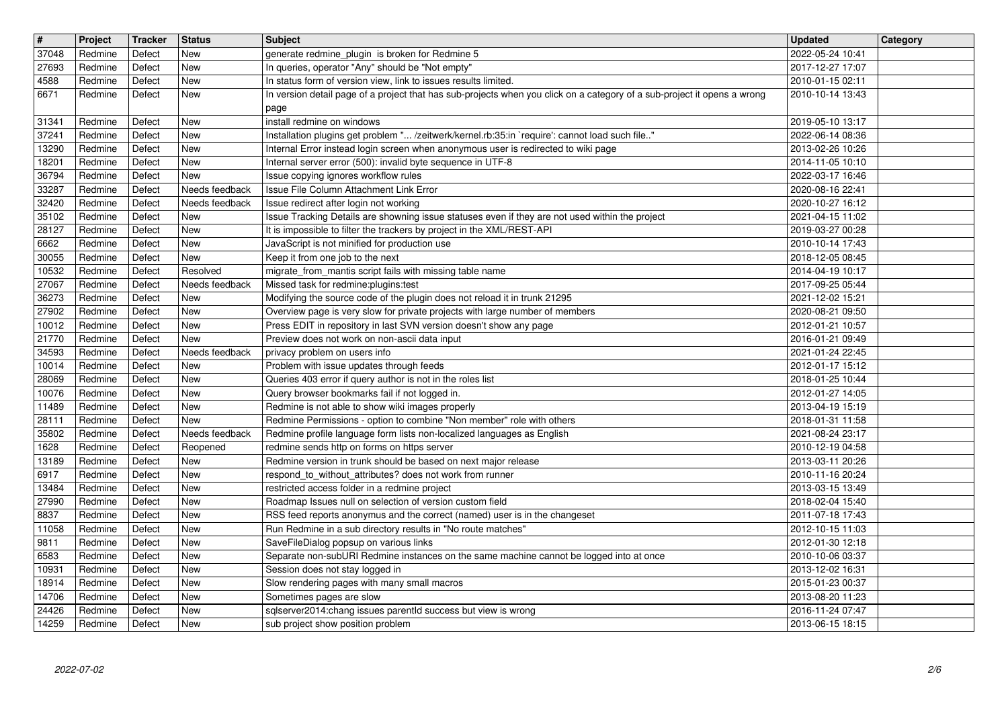| $\boxed{\texttt{#}}$ | Project            | <b>Tracker</b>   | <b>Status</b>              | Subject                                                                                                                                                                   | <b>Updated</b>                       | Category |
|----------------------|--------------------|------------------|----------------------------|---------------------------------------------------------------------------------------------------------------------------------------------------------------------------|--------------------------------------|----------|
| 37048<br>27693       | Redmine<br>Redmine | Defect<br>Defect | New<br><b>New</b>          | generate redmine_plugin is broken for Redmine 5<br>In queries, operator "Any" should be "Not empty"                                                                       | 2022-05-24 10:41<br>2017-12-27 17:07 |          |
| 4588                 | Redmine            | Defect           | <b>New</b>                 | In status form of version view, link to issues results limited.                                                                                                           | 2010-01-15 02:11                     |          |
| 6671                 | Redmine            | Defect           | New                        | In version detail page of a project that has sub-projects when you click on a category of a sub-project it opens a wrong                                                  | 2010-10-14 13:43                     |          |
|                      |                    |                  | <b>New</b>                 | page                                                                                                                                                                      |                                      |          |
| 31341<br>37241       | Redmine<br>Redmine | Defect<br>Defect | New                        | install redmine on windows<br>Installation plugins get problem " /zeitwerk/kernel.rb:35:in `require': cannot load such file"                                              | 2019-05-10 13:17<br>2022-06-14 08:36 |          |
| 13290                | Redmine            | Defect           | New                        | Internal Error instead login screen when anonymous user is redirected to wiki page                                                                                        | 2013-02-26 10:26                     |          |
| 18201<br>36794       | Redmine<br>Redmine | Defect<br>Defect | <b>New</b><br><b>New</b>   | Internal server error (500): invalid byte sequence in UTF-8<br>Issue copying ignores workflow rules                                                                       | 2014-11-05 10:10<br>2022-03-17 16:46 |          |
| 33287                | Redmine            | Defect           | Needs feedback             | Issue File Column Attachment Link Error                                                                                                                                   | 2020-08-16 22:41                     |          |
| 32420                | Redmine            | Defect           | Needs feedback             | Issue redirect after login not working                                                                                                                                    | 2020-10-27 16:12                     |          |
| 35102<br>28127       | Redmine<br>Redmine | Defect<br>Defect | New<br>New                 | Issue Tracking Details are showning issue statuses even if they are not used within the project<br>It is impossible to filter the trackers by project in the XML/REST-API | 2021-04-15 11:02<br>2019-03-27 00:28 |          |
| 6662                 | Redmine            | Defect           | New                        | JavaScript is not minified for production use                                                                                                                             | 2010-10-14 17:43                     |          |
| 30055                | Redmine            | Defect           | New                        | Keep it from one job to the next                                                                                                                                          | 2018-12-05 08:45                     |          |
| 10532<br>27067       | Redmine<br>Redmine | Defect<br>Defect | Resolved<br>Needs feedback | migrate_from_mantis script fails with missing table name<br>Missed task for redmine:plugins:test                                                                          | 2014-04-19 10:17<br>2017-09-25 05:44 |          |
| 36273                | Redmine            | Defect           | <b>New</b>                 | Modifying the source code of the plugin does not reload it in trunk 21295                                                                                                 | 2021-12-02 15:21                     |          |
| 27902                | Redmine            | Defect           | <b>New</b>                 | Overview page is very slow for private projects with large number of members                                                                                              | 2020-08-21 09:50                     |          |
| 10012<br>21770       | Redmine<br>Redmine | Defect<br>Defect | New<br><b>New</b>          | Press EDIT in repository in last SVN version doesn't show any page<br>Preview does not work on non-ascii data input                                                       | 2012-01-21 10:57<br>2016-01-21 09:49 |          |
| 34593                | Redmine            | Defect           | Needs feedback             | privacy problem on users info                                                                                                                                             | 2021-01-24 22:45                     |          |
| 10014                | Redmine            | Defect           | New                        | Problem with issue updates through feeds                                                                                                                                  | 2012-01-17 15:12                     |          |
| 28069<br>10076       | Redmine<br>Redmine | Defect<br>Defect | New<br><b>New</b>          | Queries 403 error if query author is not in the roles list<br>Query browser bookmarks fail if not logged in.                                                              | 2018-01-25 10:44<br>2012-01-27 14:05 |          |
| 11489                | Redmine            | Defect           | New                        | Redmine is not able to show wiki images properly                                                                                                                          | 2013-04-19 15:19                     |          |
| 28111                | Redmine            | Defect           | <b>New</b>                 | Redmine Permissions - option to combine "Non member" role with others                                                                                                     | 2018-01-31 11:58                     |          |
| 35802<br>1628        | Redmine<br>Redmine | Defect<br>Defect | Needs feedback<br>Reopened | Redmine profile language form lists non-localized languages as English<br>redmine sends http on forms on https server                                                     | 2021-08-24 23:17<br>2010-12-19 04:58 |          |
| 13189                | Redmine            | Defect           | New                        | Redmine version in trunk should be based on next major release                                                                                                            | 2013-03-11 20:26                     |          |
| 6917                 | Redmine            | Defect           | <b>New</b>                 | respond_to_without_attributes? does not work from runner                                                                                                                  | 2010-11-16 20:24                     |          |
| 13484<br>27990       | Redmine<br>Redmine | Defect<br>Defect | New<br><b>New</b>          | restricted access folder in a redmine project<br>Roadmap Issues null on selection of version custom field                                                                 | 2013-03-15 13:49<br>2018-02-04 15:40 |          |
| 8837                 | Redmine            | Defect           | <b>New</b>                 | RSS feed reports anonymus and the correct (named) user is in the changeset                                                                                                | 2011-07-18 17:43                     |          |
| 11058                | Redmine            | Defect           | New                        | Run Redmine in a sub directory results in "No route matches"                                                                                                              | 2012-10-15 11:03                     |          |
| 9811<br>6583         | Redmine<br>Redmine | Defect<br>Defect | <b>New</b><br><b>New</b>   | SaveFileDialog popsup on various links<br>Separate non-subURI Redmine instances on the same machine cannot be logged into at once                                         | 2012-01-30 12:18<br>2010-10-06 03:37 |          |
| 10931                | Redmine            | Defect           | New                        | Session does not stay logged in                                                                                                                                           | 2013-12-02 16:31                     |          |
| 18914                | Redmine            | Defect           | New                        | Slow rendering pages with many small macros                                                                                                                               | 2015-01-23 00:37                     |          |
| 14706<br>24426       | Redmine<br>Redmine | Defect<br>Defect | New<br>New                 | Sometimes pages are slow<br>sqlserver2014:chang issues parentId success but view is wrong                                                                                 | 2013-08-20 11:23<br>2016-11-24 07:47 |          |
| 14259                | Redmine            | Defect           | New                        | sub project show position problem                                                                                                                                         | 2013-06-15 18:15                     |          |
|                      |                    |                  |                            |                                                                                                                                                                           |                                      |          |
|                      |                    |                  |                            |                                                                                                                                                                           |                                      |          |
|                      |                    |                  |                            |                                                                                                                                                                           |                                      |          |
|                      |                    |                  |                            |                                                                                                                                                                           |                                      |          |
|                      |                    |                  |                            |                                                                                                                                                                           |                                      |          |
|                      |                    |                  |                            |                                                                                                                                                                           |                                      |          |
|                      |                    |                  |                            |                                                                                                                                                                           |                                      |          |
|                      |                    |                  |                            |                                                                                                                                                                           |                                      |          |
|                      |                    |                  |                            |                                                                                                                                                                           |                                      |          |
|                      |                    |                  |                            |                                                                                                                                                                           |                                      |          |
|                      |                    |                  |                            |                                                                                                                                                                           |                                      |          |
|                      |                    |                  |                            |                                                                                                                                                                           |                                      |          |
|                      |                    |                  |                            |                                                                                                                                                                           |                                      |          |
|                      |                    |                  |                            |                                                                                                                                                                           |                                      |          |
|                      |                    |                  |                            |                                                                                                                                                                           |                                      |          |
|                      |                    |                  |                            |                                                                                                                                                                           |                                      |          |
|                      |                    |                  |                            |                                                                                                                                                                           |                                      |          |
|                      |                    |                  |                            |                                                                                                                                                                           |                                      |          |
|                      |                    |                  |                            |                                                                                                                                                                           |                                      |          |
|                      |                    |                  |                            |                                                                                                                                                                           |                                      |          |
|                      |                    |                  |                            |                                                                                                                                                                           |                                      |          |
|                      |                    |                  |                            |                                                                                                                                                                           |                                      |          |
|                      |                    |                  |                            |                                                                                                                                                                           |                                      |          |
|                      |                    |                  |                            |                                                                                                                                                                           |                                      |          |
|                      |                    |                  |                            |                                                                                                                                                                           |                                      |          |
|                      |                    |                  |                            |                                                                                                                                                                           |                                      |          |
|                      |                    |                  |                            |                                                                                                                                                                           |                                      |          |
|                      |                    |                  |                            |                                                                                                                                                                           |                                      |          |
|                      |                    |                  |                            |                                                                                                                                                                           |                                      |          |
|                      |                    |                  |                            |                                                                                                                                                                           |                                      |          |
|                      |                    |                  |                            |                                                                                                                                                                           |                                      |          |
|                      |                    |                  |                            |                                                                                                                                                                           |                                      |          |
|                      |                    |                  |                            |                                                                                                                                                                           |                                      |          |
|                      |                    |                  |                            |                                                                                                                                                                           |                                      |          |
|                      |                    |                  |                            |                                                                                                                                                                           |                                      |          |
|                      |                    |                  |                            |                                                                                                                                                                           |                                      |          |
|                      |                    |                  |                            |                                                                                                                                                                           |                                      |          |
|                      |                    |                  |                            |                                                                                                                                                                           |                                      |          |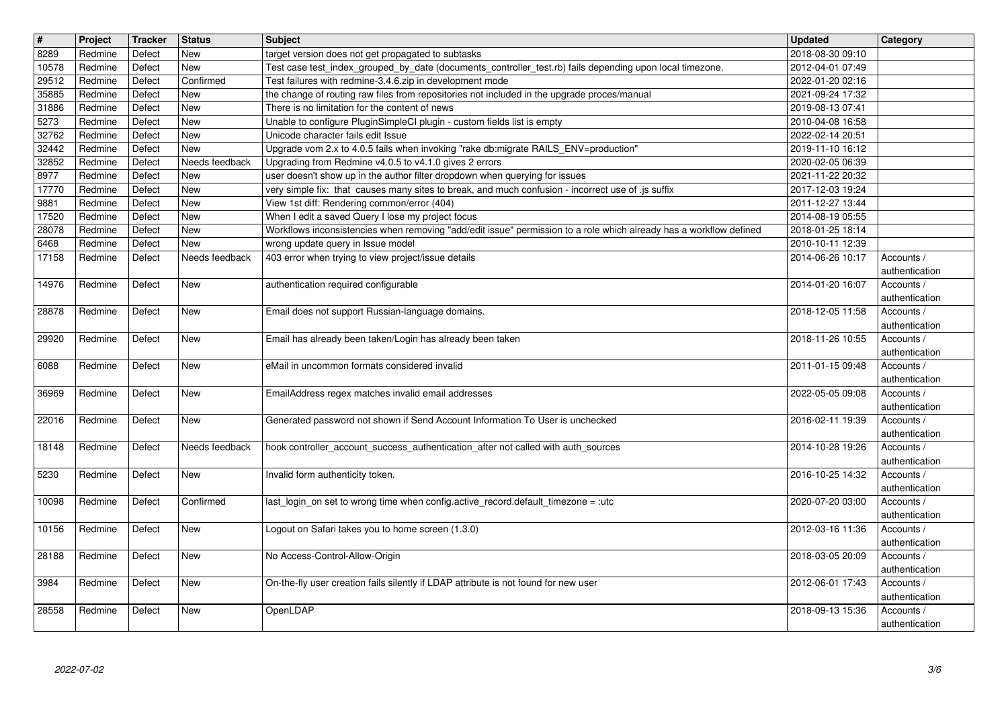| $\overline{\mathbf{t}}$ | Project            | Tracker          | Status                       | <b>Subject</b>                                                                                                                                                 | <b>Updated</b>                       | Category                     |
|-------------------------|--------------------|------------------|------------------------------|----------------------------------------------------------------------------------------------------------------------------------------------------------------|--------------------------------------|------------------------------|
| 8289<br>10578           | Redmine<br>Redmine | Defect<br>Defect | New<br>New                   | target version does not get propagated to subtasks<br>Test case test_index_grouped_by_date (documents_controller_test.rb) fails depending upon local timezone. | 2018-08-30 09:10<br>2012-04-01 07:49 |                              |
| 29512                   | Redmine            | Defect           | Confirmed                    | Test failures with redmine-3.4.6.zip in development mode                                                                                                       | 2022-01-20 02:16                     |                              |
| 35885                   | Redmine            | Defect           | <b>New</b>                   | the change of routing raw files from repositories not included in the upgrade proces/manual                                                                    | 2021-09-24 17:32                     |                              |
| 31886<br>5273           | Redmine<br>Redmine | Defect<br>Defect | <b>New</b><br>New            | There is no limitation for the content of news<br>Unable to configure PluginSimpleCI plugin - custom fields list is empty                                      | 2019-08-13 07:41<br>2010-04-08 16:58 |                              |
| 32762                   | Redmine            | Defect           | New                          | Unicode character fails edit Issue                                                                                                                             | 2022-02-14 20:51                     |                              |
| 32442                   | Redmine            | Defect           | New<br>Needs feedback        | Upgrade vom 2.x to 4.0.5 fails when invoking "rake db:migrate RAILS_ENV=production"<br>Upgrading from Redmine v4.0.5 to v4.1.0 gives 2 errors                  | 2019-11-10 16:12                     |                              |
| 32852<br>8977           | Redmine<br>Redmine | Defect<br>Defect | <b>New</b>                   | user doesn't show up in the author filter dropdown when querying for issues                                                                                    | 2020-02-05 06:39<br>2021-11-22 20:32 |                              |
| 17770                   | Redmine            | Defect           | <b>New</b>                   | very simple fix: that causes many sites to break, and much confusion - incorrect use of .js suffix                                                             | 2017-12-03 19:24                     |                              |
| 9881<br>17520           | Redmine<br>Redmine | Defect<br>Defect | <b>New</b><br><b>New</b>     | View 1st diff: Rendering common/error (404)<br>When I edit a saved Query I lose my project focus                                                               | 2011-12-27 13:44<br>2014-08-19 05:55 |                              |
| 28078                   | Redmine            | Defect           | <b>New</b>                   | Workflows inconsistencies when removing "add/edit issue" permission to a role which already has a workflow defined                                             | 2018-01-25 18:14                     |                              |
| 6468<br>17158           | Redmine<br>Redmine | Defect<br>Defect | <b>New</b><br>Needs feedback | wrong update query in Issue model<br>403 error when trying to view project/issue details                                                                       | 2010-10-11 12:39<br>2014-06-26 10:17 | Accounts /                   |
|                         |                    |                  |                              |                                                                                                                                                                |                                      | authentication               |
| 14976                   | Redmine            | Defect           | New                          | authentication required configurable                                                                                                                           | 2014-01-20 16:07                     | Accounts /<br>authentication |
| 28878                   | Redmine            | Defect           | <b>New</b>                   | Email does not support Russian-language domains.                                                                                                               | 2018-12-05 11:58                     | Accounts /                   |
|                         |                    |                  |                              | Email has already been taken/Login has already been taken                                                                                                      | 2018-11-26 10:55                     | authentication               |
| 29920                   | Redmine            | Defect           | <b>New</b>                   |                                                                                                                                                                |                                      | Accounts /<br>authentication |
| 6088                    | Redmine            | Defect           | <b>New</b>                   | eMail in uncommon formats considered invalid                                                                                                                   | 2011-01-15 09:48                     | Accounts /                   |
| 36969                   | Redmine            | Defect           | New                          | EmailAddress regex matches invalid email addresses                                                                                                             | 2022-05-05 09:08                     | authentication<br>Accounts / |
|                         |                    |                  |                              |                                                                                                                                                                |                                      | authentication               |
| 22016                   | Redmine            | Defect           | New                          | Generated password not shown if Send Account Information To User is unchecked                                                                                  | 2016-02-11 19:39                     | Accounts /<br>authentication |
| 18148                   | Redmine            | Defect           | Needs feedback               | hook controller_account_success_authentication_after not called with auth_sources                                                                              | 2014-10-28 19:26                     | Accounts /                   |
|                         |                    |                  |                              |                                                                                                                                                                |                                      | authentication               |
| 5230                    | Redmine            | Defect           | New                          | Invalid form authenticity token.                                                                                                                               | 2016-10-25 14:32                     | Accounts /<br>authentication |
| 10098                   | Redmine            | Defect           | Confirmed                    | last_login_on set to wrong time when config.active_record.default_timezone = :utc                                                                              | 2020-07-20 03:00                     | Accounts /                   |
| 10156                   | Redmine            | Defect           | New                          | Logout on Safari takes you to home screen (1.3.0)                                                                                                              | 2012-03-16 11:36                     | authentication<br>Accounts / |
|                         |                    |                  |                              |                                                                                                                                                                |                                      | authentication               |
| 28188                   | Redmine            | Defect           | New                          | No Access-Control-Allow-Origin                                                                                                                                 | 2018-03-05 20:09                     | Accounts /                   |
| 3984                    | Redmine            | Defect           | <b>New</b>                   | On-the-fly user creation fails silently if LDAP attribute is not found for new user                                                                            | 2012-06-01 17:43                     | authentication<br>Accounts / |
|                         |                    |                  |                              |                                                                                                                                                                |                                      | authentication               |
|                         | Redmine            | Defect           | New                          | OpenLDAP                                                                                                                                                       | 2018-09-13 15:36                     | Accounts /<br>authentication |
| 28558                   | 2022-07-02         |                  |                              |                                                                                                                                                                |                                      | 3/6                          |
|                         |                    |                  |                              |                                                                                                                                                                |                                      |                              |
|                         |                    |                  |                              |                                                                                                                                                                |                                      |                              |
|                         |                    |                  |                              |                                                                                                                                                                |                                      |                              |
|                         |                    |                  |                              |                                                                                                                                                                |                                      |                              |
|                         |                    |                  |                              |                                                                                                                                                                |                                      |                              |
|                         |                    |                  |                              |                                                                                                                                                                |                                      |                              |
|                         |                    |                  |                              |                                                                                                                                                                |                                      |                              |
|                         |                    |                  |                              |                                                                                                                                                                |                                      |                              |
|                         |                    |                  |                              |                                                                                                                                                                |                                      |                              |
|                         |                    |                  |                              |                                                                                                                                                                |                                      |                              |
|                         |                    |                  |                              |                                                                                                                                                                |                                      |                              |
|                         |                    |                  |                              |                                                                                                                                                                |                                      |                              |
|                         |                    |                  |                              |                                                                                                                                                                |                                      |                              |
|                         |                    |                  |                              |                                                                                                                                                                |                                      |                              |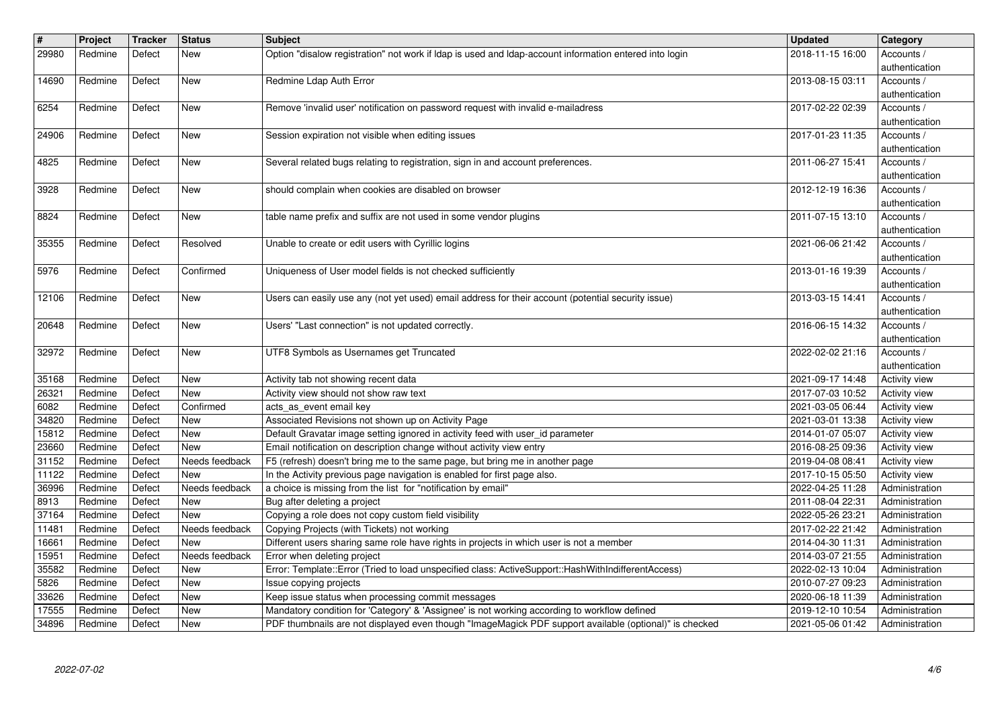| $\sqrt{t}$<br>29980 | Project            | Tracker          | Status                       | <b>Subject</b>                                                                                                                                                                                         | <b>Updated</b>                       | Category                         |
|---------------------|--------------------|------------------|------------------------------|--------------------------------------------------------------------------------------------------------------------------------------------------------------------------------------------------------|--------------------------------------|----------------------------------|
|                     | Redmine            | Defect           | New                          | Option "disalow registration" not work if Idap is used and Idap-account information entered into login                                                                                                 | 2018-11-15 16:00                     | Accounts /<br>authentication     |
| 14690               | Redmine            | Defect           | <b>New</b>                   | Redmine Ldap Auth Error                                                                                                                                                                                | 2013-08-15 03:11                     | Accounts /<br>authentication     |
| 6254                | Redmine            | Defect           | New                          | Remove 'invalid user' notification on password request with invalid e-mailadress                                                                                                                       | 2017-02-22 02:39                     | Accounts /                       |
| 24906               | Redmine            | Defect           | New                          | Session expiration not visible when editing issues                                                                                                                                                     | 2017-01-23 11:35                     | authentication<br>Accounts /     |
|                     |                    |                  |                              |                                                                                                                                                                                                        |                                      | authentication                   |
| 4825                | Redmine            | Defect           | New                          | Several related bugs relating to registration, sign in and account preferences.                                                                                                                        | 2011-06-27 15:41                     | Accounts /<br>authentication     |
| 3928                | Redmine            | Defect           | <b>New</b>                   | should complain when cookies are disabled on browser                                                                                                                                                   | 2012-12-19 16:36                     | Accounts /<br>authentication     |
| 8824                | Redmine            | Defect           | New                          | table name prefix and suffix are not used in some vendor plugins                                                                                                                                       | 2011-07-15 13:10                     | Accounts /                       |
| 35355               | Redmine            | Defect           | Resolved                     | Unable to create or edit users with Cyrillic logins                                                                                                                                                    | 2021-06-06 21:42                     | authentication<br>Accounts /     |
|                     |                    |                  | Confirmed                    |                                                                                                                                                                                                        |                                      | authentication                   |
| 5976                | Redmine            | Defect           |                              | Uniqueness of User model fields is not checked sufficiently                                                                                                                                            | 2013-01-16 19:39                     | Accounts /<br>authentication     |
| 12106               | Redmine            | Defect           | New                          | Users can easily use any (not yet used) email address for their account (potential security issue)                                                                                                     | 2013-03-15 14:41                     | Accounts /<br>authentication     |
| 20648               | Redmine            | Defect           | <b>New</b>                   | Users' "Last connection" is not updated correctly.                                                                                                                                                     | 2016-06-15 14:32                     | Accounts /                       |
| 32972               | Redmine            | Defect           | New                          | UTF8 Symbols as Usernames get Truncated                                                                                                                                                                | 2022-02-02 21:16                     | authentication<br>Accounts /     |
|                     |                    |                  |                              |                                                                                                                                                                                                        |                                      | authentication                   |
| 35168<br>26321      | Redmine<br>Redmine | Defect<br>Defect | New<br>New                   | Activity tab not showing recent data<br>Activity view should not show raw text                                                                                                                         | 2021-09-17 14:48<br>2017-07-03 10:52 | Activity view<br>Activity view   |
| 6082<br>34820       | Redmine<br>Redmine | Defect<br>Defect | Confirmed<br>New             | acts_as_event email key<br>Associated Revisions not shown up on Activity Page                                                                                                                          | 2021-03-05 06:44<br>2021-03-01 13:38 | Activity view<br>Activity view   |
| 15812               | Redmine            | Defect           | <b>New</b>                   | Default Gravatar image setting ignored in activity feed with user_id parameter                                                                                                                         | 2014-01-07 05:07                     | Activity view                    |
| 23660<br>31152      | Redmine<br>Redmine | Defect<br>Defect | <b>New</b><br>Needs feedback | Email notification on description change without activity view entry<br>F5 (refresh) doesn't bring me to the same page, but bring me in another page                                                   | 2016-08-25 09:36<br>2019-04-08 08:41 | Activity view<br>Activity view   |
| 11122               | Redmine            | Defect           | New                          | In the Activity previous page navigation is enabled for first page also.                                                                                                                               | 2017-10-15 05:50                     | Activity view                    |
| 36996<br>8913       | Redmine<br>Redmine | Defect<br>Defect | Needs feedback<br><b>New</b> | a choice is missing from the list for "notification by email"<br>Bug after deleting a project                                                                                                          | 2022-04-25 11:28<br>2011-08-04 22:31 | Administration<br>Administration |
| 37164               | Redmine            | Defect           | New                          | Copying a role does not copy custom field visibility                                                                                                                                                   | 2022-05-26 23:21                     | Administration                   |
| 11481<br>16661      | Redmine<br>Redmine | Defect<br>Defect | Needs feedback<br>New        | Copying Projects (with Tickets) not working<br>Different users sharing same role have rights in projects in which user is not a member                                                                 | 2017-02-22 21:42<br>2014-04-30 11:31 | Administration<br>Administration |
| 15951               | Redmine            | Defect           | Needs feedback               | Error when deleting project                                                                                                                                                                            | 2014-03-07 21:55                     | Administration                   |
| 35582<br>5826       | Redmine<br>Redmine | Defect<br>Defect | New<br><b>New</b>            | Error: Template::Error (Tried to load unspecified class: ActiveSupport::HashWithIndifferentAccess)<br>Issue copying projects                                                                           | 2022-02-13 10:04<br>2010-07-27 09:23 | Administration<br>Administration |
| 33626               | Redmine            | Defect           | New                          | Keep issue status when processing commit messages                                                                                                                                                      | 2020-06-18 11:39                     | Administration                   |
| 17555<br>34896      | Redmine<br>Redmine | Defect<br>Defect | <b>New</b><br>New            | Mandatory condition for 'Category' & 'Assignee' is not working according to workflow defined<br>PDF thumbnails are not displayed even though "ImageMagick PDF support available (optional)" is checked | 2019-12-10 10:54<br>2021-05-06 01:42 | Administration<br>Administration |
|                     |                    |                  |                              |                                                                                                                                                                                                        |                                      |                                  |
|                     |                    |                  |                              |                                                                                                                                                                                                        |                                      |                                  |
|                     |                    |                  |                              |                                                                                                                                                                                                        |                                      |                                  |
|                     |                    |                  |                              |                                                                                                                                                                                                        |                                      |                                  |
|                     |                    |                  |                              |                                                                                                                                                                                                        |                                      |                                  |
|                     |                    |                  |                              |                                                                                                                                                                                                        |                                      |                                  |
|                     |                    |                  |                              |                                                                                                                                                                                                        |                                      |                                  |
|                     |                    |                  |                              |                                                                                                                                                                                                        |                                      |                                  |
|                     |                    |                  |                              |                                                                                                                                                                                                        |                                      |                                  |
|                     |                    |                  |                              |                                                                                                                                                                                                        |                                      |                                  |
|                     |                    |                  |                              |                                                                                                                                                                                                        |                                      |                                  |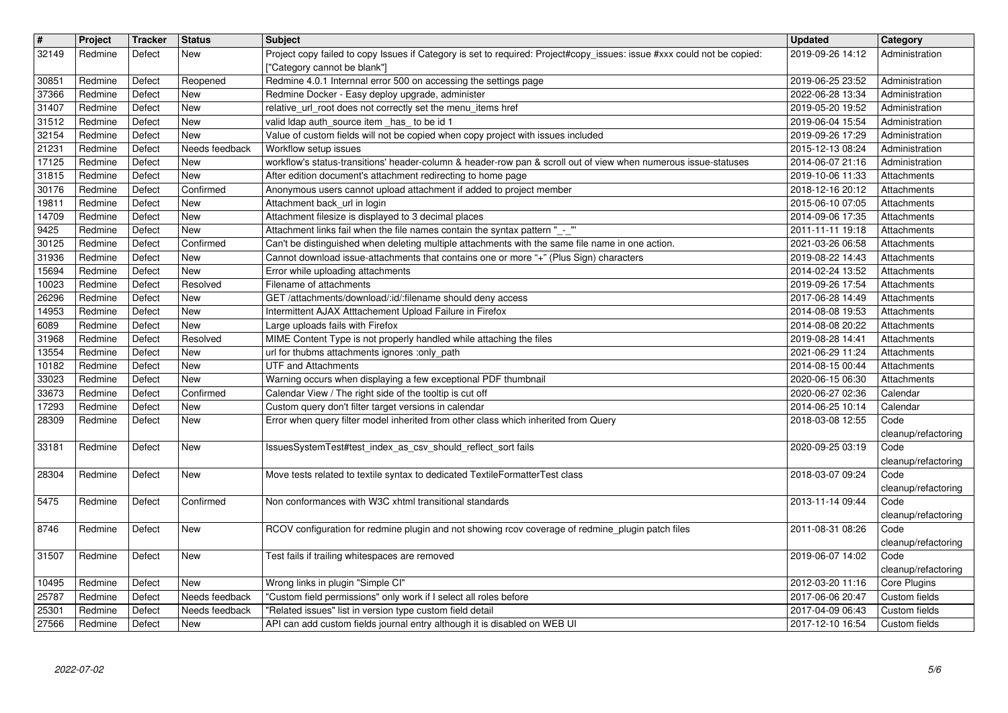| $\sqrt{t}$<br>32149 | Project<br>Redmine | Tracker<br>Defect | <b>Status</b><br>New         | Subject<br>Project copy failed to copy Issues if Category is set to required: Project#copy_issues: issue #xxx could not be copied:<br>["Category cannot be blank"]                         | <b>Updated</b><br>2019-09-26 14:12   | Category<br>Administration       |
|---------------------|--------------------|-------------------|------------------------------|--------------------------------------------------------------------------------------------------------------------------------------------------------------------------------------------|--------------------------------------|----------------------------------|
| 30851               | Redmine            | Defect            | Reopened                     | Redmine 4.0.1 Internnal error 500 on accessing the settings page                                                                                                                           | 2019-06-25 23:52                     | Administration                   |
| 37366<br>31407      | Redmine<br>Redmine | Defect<br>Defect  | <b>New</b><br><b>New</b>     | Redmine Docker - Easy deploy upgrade, administer<br>relative_url_root does not correctly set the menu_items href                                                                           | 2022-06-28 13:34<br>2019-05-20 19:52 | Administration<br>Administration |
| 31512<br>32154      | Redmine<br>Redmine | Defect<br>Defect  | <b>New</b><br>New            | valid Idap auth_source item _has_ to be id 1<br>Value of custom fields will not be copied when copy project with issues included                                                           | 2019-06-04 15:54<br>2019-09-26 17:29 | Administration<br>Administration |
| 21231               | Redmine            | Defect            | Needs feedback               | Workflow setup issues                                                                                                                                                                      | 2015-12-13 08:24                     | Administration                   |
| 17125<br>31815      | Redmine<br>Redmine | Defect<br>Defect  | <b>New</b><br>New            | workflow's status-transitions' header-column & header-row pan & scroll out of view when numerous issue-statuses<br>After edition document's attachment redirecting to home page            | 2014-06-07 21:16<br>2019-10-06 11:33 | Administration<br>Attachments    |
| 30176               | Redmine            | Defect            | Confirmed                    | Anonymous users cannot upload attachment if added to project member                                                                                                                        | 2018-12-16 20:12                     | Attachments                      |
| 19811<br>14709      | Redmine<br>Redmine | Defect<br>Defect  | New<br><b>New</b>            | Attachment back_url in login<br>Attachment filesize is displayed to 3 decimal places                                                                                                       | 2015-06-10 07:05<br>2014-09-06 17:35 | Attachments<br>Attachments       |
| 9425                | Redmine            | Defect            | <b>New</b>                   | Attachment links fail when the file names contain the syntax pattern "_-_"                                                                                                                 | 2011-11-11 19:18                     | Attachments                      |
| 30125<br>31936      | Redmine<br>Redmine | Defect<br>Defect  | Confirmed<br><b>New</b>      | Can't be distinguished when deleting multiple attachments with the same file name in one action.<br>Cannot download issue-attachments that contains one or more "+" (Plus Sign) characters | 2021-03-26 06:58<br>2019-08-22 14:43 | Attachments<br>Attachments       |
| 15694<br>10023      | Redmine<br>Redmine | Defect<br>Defect  | <b>New</b><br>Resolved       | Error while uploading attachments<br>Filename of attachments                                                                                                                               | 2014-02-24 13:52<br>2019-09-26 17:54 | Attachments<br>Attachments       |
| 26296               | Redmine            | Defect            | New                          | GET /attachments/download/:id/:filename should deny access                                                                                                                                 | 2017-06-28 14:49                     | Attachments                      |
| 14953<br>6089       | Redmine<br>Redmine | Defect<br>Defect  | New<br>New                   | Intermittent AJAX Atttachement Upload Failure in Firefox<br>Large uploads fails with Firefox                                                                                               | 2014-08-08 19:53<br>2014-08-08 20:22 | Attachments<br>Attachments       |
| 31968               | Redmine            | Defect            | Resolved                     | MIME Content Type is not properly handled while attaching the files                                                                                                                        | 2019-08-28 14:41                     | Attachments                      |
| 13554<br>10182      | Redmine<br>Redmine | Defect<br>Defect  | <b>New</b><br><b>New</b>     | url for thubms attachments ignores :only_path<br><b>UTF and Attachments</b>                                                                                                                | 2021-06-29 11:24<br>2014-08-15 00:44 | Attachments<br>Attachments       |
| 33023               | Redmine            | Defect            | <b>New</b>                   | Warning occurs when displaying a few exceptional PDF thumbnail                                                                                                                             | 2020-06-15 06:30                     | Attachments                      |
| 33673<br>17293      | Redmine<br>Redmine | Defect<br>Defect  | Confirmed<br>New             | Calendar View / The right side of the tooltip is cut off<br>Custom query don't filter target versions in calendar                                                                          | 2020-06-27 02:36<br>2014-06-25 10:14 | Calendar<br>Calendar             |
| 28309               | Redmine            | Defect            | New                          | Error when query filter model inherited from other class which inherited from Query                                                                                                        | 2018-03-08 12:55                     | Code                             |
| 33181               | Redmine            | Defect            | <b>New</b>                   | IssuesSystemTest#test_index_as_csv_should_reflect_sort fails                                                                                                                               | 2020-09-25 03:19                     | cleanup/refactoring<br>Code      |
| 28304               | Redmine            | Defect            | <b>New</b>                   | Move tests related to textile syntax to dedicated TextileFormatterTest class                                                                                                               | 2018-03-07 09:24                     | cleanup/refactoring<br>Code      |
|                     |                    |                   |                              |                                                                                                                                                                                            |                                      | cleanup/refactoring              |
| 5475                | Redmine            | Defect            | Confirmed                    | Non conformances with W3C xhtml transitional standards                                                                                                                                     | 2013-11-14 09:44                     | Code<br>cleanup/refactoring      |
| 8746                | Redmine            | Defect            | <b>New</b>                   | RCOV configuration for redmine plugin and not showing rcov coverage of redmine_plugin patch files                                                                                          | 2011-08-31 08:26                     | Code                             |
| 31507               | Redmine            | Defect            | New                          | Test fails if trailing whitespaces are removed                                                                                                                                             | 2019-06-07 14:02                     | cleanup/refactoring<br>Code      |
|                     |                    |                   |                              |                                                                                                                                                                                            |                                      | cleanup/refactoring              |
| 10495<br>25787      | Redmine<br>Redmine | Defect<br>Defect  | <b>New</b><br>Needs feedback | Wrong links in plugin "Simple CI"<br>"Custom field permissions" only work if I select all roles before                                                                                     | 2012-03-20 11:16<br>2017-06-06 20:47 | Core Plugins<br>Custom fields    |
| 25301<br>27566      | Redmine<br>Redmine | Defect<br>Defect  | Needs feedback<br>New        | "Related issues" list in version type custom field detail<br>API can add custom fields journal entry although it is disabled on WEB UI                                                     | 2017-04-09 06:43<br>2017-12-10 16:54 | Custom fields<br>Custom fields   |
|                     |                    |                   |                              |                                                                                                                                                                                            |                                      |                                  |
|                     |                    |                   |                              |                                                                                                                                                                                            |                                      |                                  |
|                     |                    |                   |                              |                                                                                                                                                                                            |                                      |                                  |
|                     |                    |                   |                              |                                                                                                                                                                                            |                                      |                                  |
|                     |                    |                   |                              |                                                                                                                                                                                            |                                      |                                  |
|                     |                    |                   |                              |                                                                                                                                                                                            |                                      |                                  |
|                     |                    |                   |                              |                                                                                                                                                                                            |                                      |                                  |
|                     |                    |                   |                              |                                                                                                                                                                                            |                                      |                                  |
|                     |                    |                   |                              |                                                                                                                                                                                            |                                      |                                  |
|                     |                    |                   |                              |                                                                                                                                                                                            |                                      |                                  |
|                     |                    |                   |                              |                                                                                                                                                                                            |                                      |                                  |
|                     |                    |                   |                              |                                                                                                                                                                                            |                                      |                                  |
|                     |                    |                   |                              |                                                                                                                                                                                            |                                      |                                  |
|                     |                    |                   |                              |                                                                                                                                                                                            |                                      |                                  |
|                     |                    |                   |                              |                                                                                                                                                                                            |                                      |                                  |
|                     |                    |                   |                              |                                                                                                                                                                                            |                                      |                                  |
|                     |                    |                   |                              |                                                                                                                                                                                            |                                      |                                  |
|                     |                    |                   |                              |                                                                                                                                                                                            |                                      |                                  |
|                     |                    |                   |                              |                                                                                                                                                                                            |                                      |                                  |
|                     |                    |                   |                              |                                                                                                                                                                                            |                                      |                                  |
|                     |                    |                   |                              |                                                                                                                                                                                            |                                      |                                  |
|                     |                    |                   |                              |                                                                                                                                                                                            |                                      |                                  |
|                     |                    |                   |                              |                                                                                                                                                                                            |                                      |                                  |
|                     |                    |                   |                              |                                                                                                                                                                                            |                                      |                                  |
|                     |                    |                   |                              |                                                                                                                                                                                            |                                      |                                  |
|                     |                    |                   |                              |                                                                                                                                                                                            |                                      |                                  |
|                     |                    |                   |                              |                                                                                                                                                                                            |                                      |                                  |
|                     |                    |                   |                              |                                                                                                                                                                                            |                                      |                                  |
|                     |                    |                   |                              |                                                                                                                                                                                            |                                      |                                  |
|                     |                    |                   |                              |                                                                                                                                                                                            |                                      |                                  |
|                     |                    |                   |                              |                                                                                                                                                                                            |                                      |                                  |
|                     |                    |                   |                              |                                                                                                                                                                                            |                                      |                                  |
|                     |                    |                   |                              |                                                                                                                                                                                            |                                      |                                  |
|                     |                    |                   |                              |                                                                                                                                                                                            |                                      |                                  |
|                     |                    |                   |                              |                                                                                                                                                                                            |                                      |                                  |